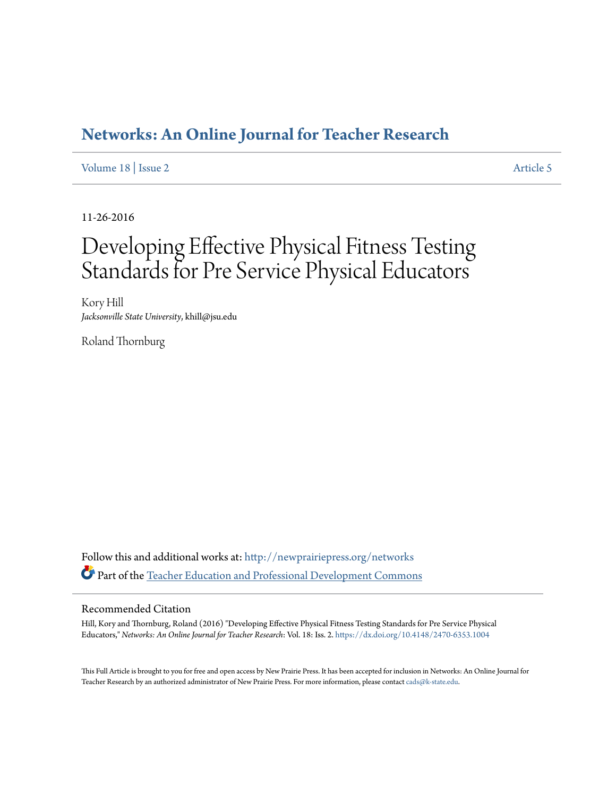#### **[Networks: An Online Journal for Teacher Research](http://newprairiepress.org/networks?utm_source=newprairiepress.org%2Fnetworks%2Fvol18%2Fiss2%2F5&utm_medium=PDF&utm_campaign=PDFCoverPages)**

[Volume 18](http://newprairiepress.org/networks/vol18?utm_source=newprairiepress.org%2Fnetworks%2Fvol18%2Fiss2%2F5&utm_medium=PDF&utm_campaign=PDFCoverPages) | [Issue 2](http://newprairiepress.org/networks/vol18/iss2?utm_source=newprairiepress.org%2Fnetworks%2Fvol18%2Fiss2%2F5&utm_medium=PDF&utm_campaign=PDFCoverPages) [Article 5](http://newprairiepress.org/networks/vol18/iss2/5?utm_source=newprairiepress.org%2Fnetworks%2Fvol18%2Fiss2%2F5&utm_medium=PDF&utm_campaign=PDFCoverPages)

11-26-2016

# Developing Effective Physical Fitness Testing Standards for Pre Service Physical Educators

Kory Hill *Jacksonville State University*, khill@jsu.edu

Roland Thornburg

Follow this and additional works at: [http://newprairiepress.org/networks](http://newprairiepress.org/networks?utm_source=newprairiepress.org%2Fnetworks%2Fvol18%2Fiss2%2F5&utm_medium=PDF&utm_campaign=PDFCoverPages) Part of the [Teacher Education and Professional Development Commons](http://network.bepress.com/hgg/discipline/803?utm_source=newprairiepress.org%2Fnetworks%2Fvol18%2Fiss2%2F5&utm_medium=PDF&utm_campaign=PDFCoverPages)

#### Recommended Citation

Hill, Kory and Thornburg, Roland (2016) "Developing Effective Physical Fitness Testing Standards for Pre Service Physical Educators," *Networks: An Online Journal for Teacher Research*: Vol. 18: Iss. 2. <https://dx.doi.org/10.4148/2470-6353.1004>

This Full Article is brought to you for free and open access by New Prairie Press. It has been accepted for inclusion in Networks: An Online Journal for Teacher Research by an authorized administrator of New Prairie Press. For more information, please contact [cads@k-state.edu.](mailto:cads@k-state.edu)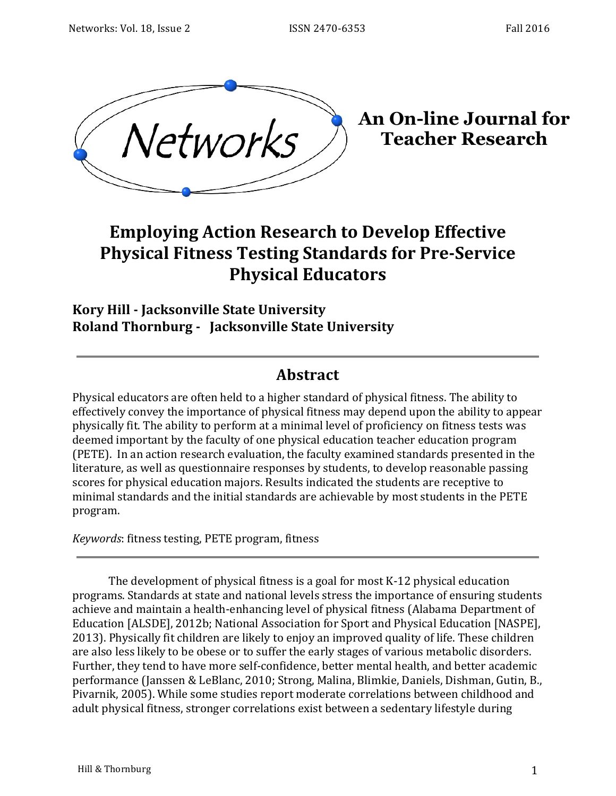

**An On-line Journal for Teacher Research**

## **Employing Action Research to Develop Effective Physical Fitness Testing Standards for Pre-Service Physical Educators**

#### **Kory Hill - Jacksonville State University Roland Thornburg - Jacksonville State University**

#### **Abstract**

Physical educators are often held to a higher standard of physical fitness. The ability to effectively convey the importance of physical fitness may depend upon the ability to appear physically fit. The ability to perform at a minimal level of proficiency on fitness tests was deemed important by the faculty of one physical education teacher education program (PETE). In an action research evaluation, the faculty examined standards presented in the literature, as well as questionnaire responses by students, to develop reasonable passing scores for physical education majors. Results indicated the students are receptive to minimal standards and the initial standards are achievable by most students in the PETE program.

*Keywords*: fitness testing, PETE program, fitness

The development of physical fitness is a goal for most  $K-12$  physical education programs. Standards at state and national levels stress the importance of ensuring students achieve and maintain a health-enhancing level of physical fitness (Alabama Department of Education [ALSDE], 2012b; National Association for Sport and Physical Education [NASPE], 2013). Physically fit children are likely to enjoy an improved quality of life. These children are also less likely to be obese or to suffer the early stages of various metabolic disorders. Further, they tend to have more self-confidence, better mental health, and better academic performance (Janssen & LeBlanc, 2010; Strong, Malina, Blimkie, Daniels, Dishman, Gutin, B., Pivarnik, 2005). While some studies report moderate correlations between childhood and adult physical fitness, stronger correlations exist between a sedentary lifestyle during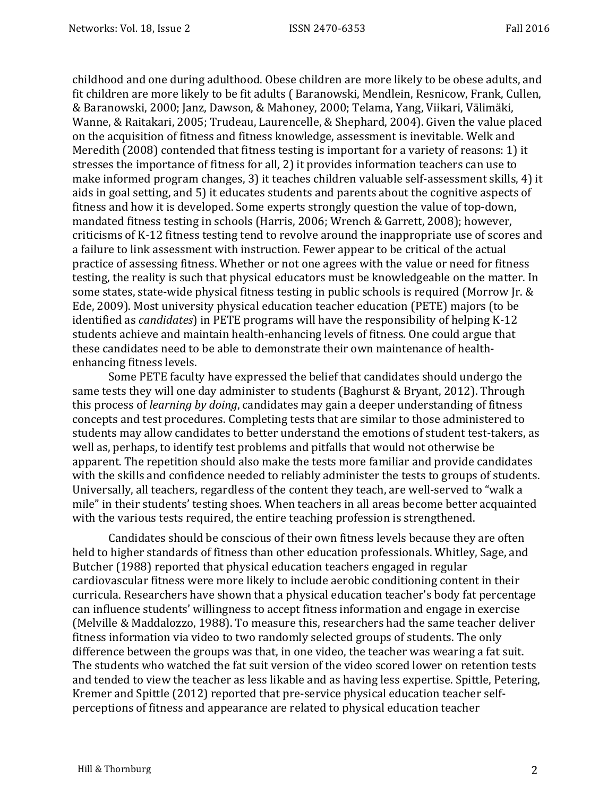childhood and one during adulthood. Obese children are more likely to be obese adults, and fit children are more likely to be fit adults (Baranowski, Mendlein, Resnicow, Frank, Cullen, & Baranowski, 2000; Janz, Dawson, & Mahoney, 2000; Telama, Yang, Viikari, Välimäki, Wanne, & Raitakari, 2005; Trudeau, Laurencelle, & Shephard, 2004). Given the value placed on the acquisition of fitness and fitness knowledge, assessment is inevitable. Welk and Meredith  $(2008)$  contended that fitness testing is important for a variety of reasons: 1) it stresses the importance of fitness for all, 2) it provides information teachers can use to make informed program changes, 3) it teaches children valuable self-assessment skills, 4) it aids in goal setting, and 5) it educates students and parents about the cognitive aspects of fitness and how it is developed. Some experts strongly question the value of top-down, mandated fitness testing in schools (Harris, 2006; Wrench & Garrett, 2008); however, criticisms of K-12 fitness testing tend to revolve around the inappropriate use of scores and a failure to link assessment with instruction. Fewer appear to be critical of the actual practice of assessing fitness. Whether or not one agrees with the value or need for fitness testing, the reality is such that physical educators must be knowledgeable on the matter. In some states, state-wide physical fitness testing in public schools is required (Morrow Jr. & Ede, 2009). Most university physical education teacher education (PETE) majors (to be identified as *candidates*) in PETE programs will have the responsibility of helping K-12 students achieve and maintain health-enhancing levels of fitness. One could argue that these candidates need to be able to demonstrate their own maintenance of healthenhancing fitness levels.

Some PETE faculty have expressed the belief that candidates should undergo the same tests they will one day administer to students (Baghurst & Bryant, 2012). Through this process of *learning by doing*, candidates may gain a deeper understanding of fitness concepts and test procedures. Completing tests that are similar to those administered to students may allow candidates to better understand the emotions of student test-takers, as well as, perhaps, to identify test problems and pitfalls that would not otherwise be apparent. The repetition should also make the tests more familiar and provide candidates with the skills and confidence needed to reliably administer the tests to groups of students. Universally, all teachers, regardless of the content they teach, are well-served to "walk a mile" in their students' testing shoes. When teachers in all areas become better acquainted with the various tests required, the entire teaching profession is strengthened.

Candidates should be conscious of their own fitness levels because they are often held to higher standards of fitness than other education professionals. Whitley, Sage, and Butcher (1988) reported that physical education teachers engaged in regular cardiovascular fitness were more likely to include aerobic conditioning content in their curricula. Researchers have shown that a physical education teacher's body fat percentage can influence students' willingness to accept fitness information and engage in exercise (Melville & Maddalozzo, 1988). To measure this, researchers had the same teacher deliver fitness information via video to two randomly selected groups of students. The only difference between the groups was that, in one video, the teacher was wearing a fat suit. The students who watched the fat suit version of the video scored lower on retention tests and tended to view the teacher as less likable and as having less expertise. Spittle, Petering, Kremer and Spittle (2012) reported that pre-service physical education teacher selfperceptions of fitness and appearance are related to physical education teacher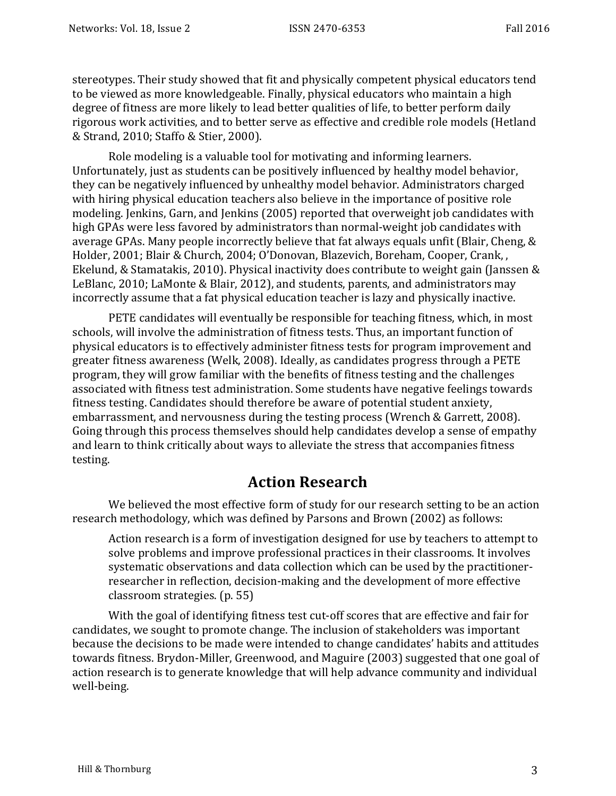stereotypes. Their study showed that fit and physically competent physical educators tend to be viewed as more knowledgeable. Finally, physical educators who maintain a high degree of fitness are more likely to lead better qualities of life, to better perform daily rigorous work activities, and to better serve as effective and credible role models (Hetland & Strand, 2010; Staffo & Stier, 2000).

Role modeling is a valuable tool for motivating and informing learners. Unfortunately, just as students can be positively influenced by healthy model behavior, they can be negatively influenced by unhealthy model behavior. Administrators charged with hiring physical education teachers also believe in the importance of positive role modeling. Jenkins, Garn, and Jenkins (2005) reported that overweight job candidates with high GPAs were less favored by administrators than normal-weight job candidates with average GPAs. Many people incorrectly believe that fat always equals unfit (Blair, Cheng, & Holder, 2001; Blair & Church, 2004; O'Donovan, Blazevich, Boreham, Cooper, Crank, , Ekelund, & Stamatakis, 2010). Physical inactivity does contribute to weight gain (Janssen  $\&$ LeBlanc, 2010; LaMonte & Blair, 2012), and students, parents, and administrators may incorrectly assume that a fat physical education teacher is lazy and physically inactive.

PETE candidates will eventually be responsible for teaching fitness, which, in most schools, will involve the administration of fitness tests. Thus, an important function of physical educators is to effectively administer fitness tests for program improvement and greater fitness awareness (Welk, 2008). Ideally, as candidates progress through a PETE program, they will grow familiar with the benefits of fitness testing and the challenges associated with fitness test administration. Some students have negative feelings towards fitness testing. Candidates should therefore be aware of potential student anxiety, embarrassment, and nervousness during the testing process (Wrench & Garrett, 2008). Going through this process themselves should help candidates develop a sense of empathy and learn to think critically about ways to alleviate the stress that accompanies fitness testing. 

#### **Action Research**

We believed the most effective form of study for our research setting to be an action research methodology, which was defined by Parsons and Brown (2002) as follows:

Action research is a form of investigation designed for use by teachers to attempt to solve problems and improve professional practices in their classrooms. It involves systematic observations and data collection which can be used by the practitionerresearcher in reflection, decision-making and the development of more effective classroom strategies. (p. 55)

With the goal of identifying fitness test cut-off scores that are effective and fair for candidates, we sought to promote change. The inclusion of stakeholders was important because the decisions to be made were intended to change candidates' habits and attitudes towards fitness. Brydon-Miller, Greenwood, and Maguire (2003) suggested that one goal of action research is to generate knowledge that will help advance community and individual well-being.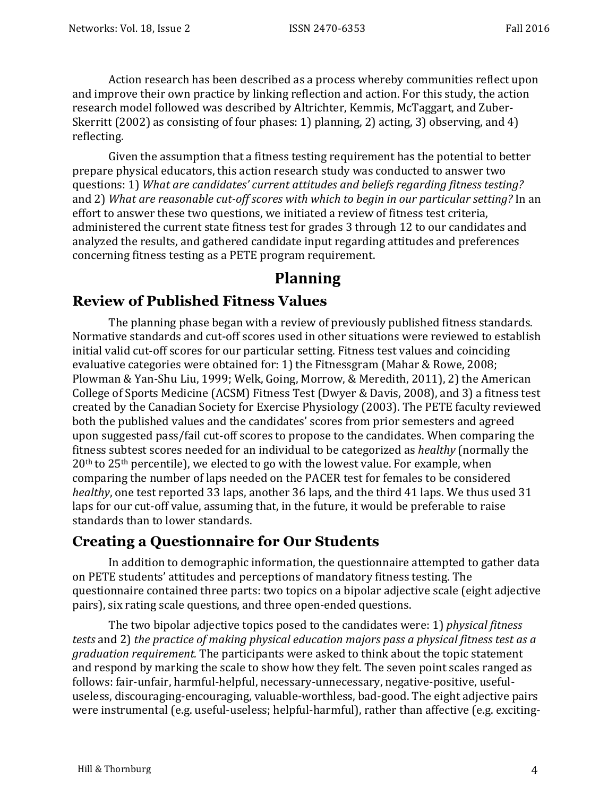Action research has been described as a process whereby communities reflect upon and improve their own practice by linking reflection and action. For this study, the action research model followed was described by Altrichter, Kemmis, McTaggart, and Zuber-Skerritt  $(2002)$  as consisting of four phases: 1) planning, 2) acting, 3) observing, and 4) reflecting. 

Given the assumption that a fitness testing requirement has the potential to better prepare physical educators, this action research study was conducted to answer two questions: 1) What are candidates' current attitudes and beliefs regarding fitness testing? and 2) What are reasonable cut-off scores with which to begin in our particular setting? In an effort to answer these two questions, we initiated a review of fitness test criteria, administered the current state fitness test for grades 3 through 12 to our candidates and analyzed the results, and gathered candidate input regarding attitudes and preferences concerning fitness testing as a PETE program requirement.

#### **Planning**

#### **Review of Published Fitness Values**

The planning phase began with a review of previously published fitness standards. Normative standards and cut-off scores used in other situations were reviewed to establish initial valid cut-off scores for our particular setting. Fitness test values and coinciding evaluative categories were obtained for: 1) the Fitnessgram (Mahar & Rowe, 2008; Plowman & Yan-Shu Liu, 1999; Welk, Going, Morrow, & Meredith, 2011), 2) the American College of Sports Medicine (ACSM) Fitness Test (Dwyer & Davis, 2008), and 3) a fitness test created by the Canadian Society for Exercise Physiology (2003). The PETE faculty reviewed both the published values and the candidates' scores from prior semesters and agreed upon suggested pass/fail cut-off scores to propose to the candidates. When comparing the fitness subtest scores needed for an individual to be categorized as *healthy* (normally the  $20<sup>th</sup>$  to  $25<sup>th</sup>$  percentile), we elected to go with the lowest value. For example, when comparing the number of laps needed on the PACER test for females to be considered *healthy*, one test reported 33 laps, another 36 laps, and the third 41 laps. We thus used 31 laps for our cut-off value, assuming that, in the future, it would be preferable to raise standards than to lower standards.

#### **Creating a Questionnaire for Our Students**

In addition to demographic information, the questionnaire attempted to gather data on PETE students' attitudes and perceptions of mandatory fitness testing. The questionnaire contained three parts: two topics on a bipolar adjective scale (eight adjective pairs), six rating scale questions, and three open-ended questions.

The two bipolar adjective topics posed to the candidates were: 1) *physical fitness tests* and 2) *the practice of making physical education majors pass a physical fitness test as a graduation requirement.* The participants were asked to think about the topic statement and respond by marking the scale to show how they felt. The seven point scales ranged as follows: fair-unfair, harmful-helpful, necessary-unnecessary, negative-positive, usefuluseless, discouraging-encouraging, valuable-worthless, bad-good. The eight adjective pairs were instrumental (e.g. useful-useless; helpful-harmful), rather than affective (e.g. exciting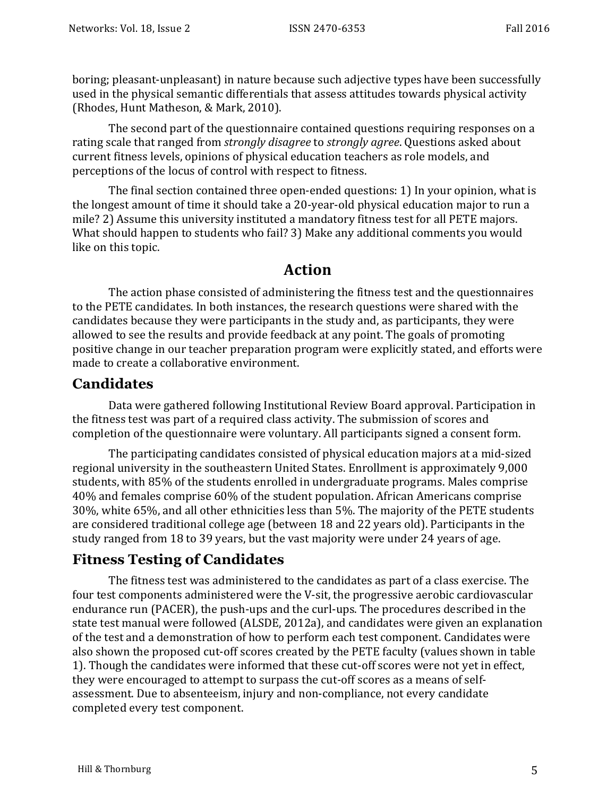boring; pleasant-unpleasant) in nature because such adjective types have been successfully used in the physical semantic differentials that assess attitudes towards physical activity (Rhodes, Hunt Matheson, & Mark, 2010).

The second part of the questionnaire contained questions requiring responses on a rating scale that ranged from *strongly disagree* to *strongly agree*. Questions asked about current fitness levels, opinions of physical education teachers as role models, and perceptions of the locus of control with respect to fitness.

The final section contained three open-ended questions: 1) In your opinion, what is the longest amount of time it should take a 20-year-old physical education major to run a mile? 2) Assume this university instituted a mandatory fitness test for all PETE majors. What should happen to students who fail? 3) Make any additional comments you would like on this topic.

#### **Action**

The action phase consisted of administering the fitness test and the questionnaires to the PETE candidates. In both instances, the research questions were shared with the candidates because they were participants in the study and, as participants, they were allowed to see the results and provide feedback at any point. The goals of promoting positive change in our teacher preparation program were explicitly stated, and efforts were made to create a collaborative environment.

#### **Candidates**

Data were gathered following Institutional Review Board approval. Participation in the fitness test was part of a required class activity. The submission of scores and completion of the questionnaire were voluntary. All participants signed a consent form.

The participating candidates consisted of physical education majors at a mid-sized regional university in the southeastern United States. Enrollment is approximately 9,000 students, with 85% of the students enrolled in undergraduate programs. Males comprise 40% and females comprise 60% of the student population. African Americans comprise 30%, white 65%, and all other ethnicities less than 5%. The majority of the PETE students are considered traditional college age (between 18 and 22 years old). Participants in the study ranged from 18 to 39 years, but the vast majority were under 24 years of age.

#### **Fitness Testing of Candidates**

The fitness test was administered to the candidates as part of a class exercise. The four test components administered were the V-sit, the progressive aerobic cardiovascular endurance run (PACER), the push-ups and the curl-ups. The procedures described in the state test manual were followed (ALSDE, 2012a), and candidates were given an explanation of the test and a demonstration of how to perform each test component. Candidates were also shown the proposed cut-off scores created by the PETE faculty (values shown in table 1). Though the candidates were informed that these cut-off scores were not yet in effect, they were encouraged to attempt to surpass the cut-off scores as a means of selfassessment. Due to absenteeism, injury and non-compliance, not every candidate completed every test component.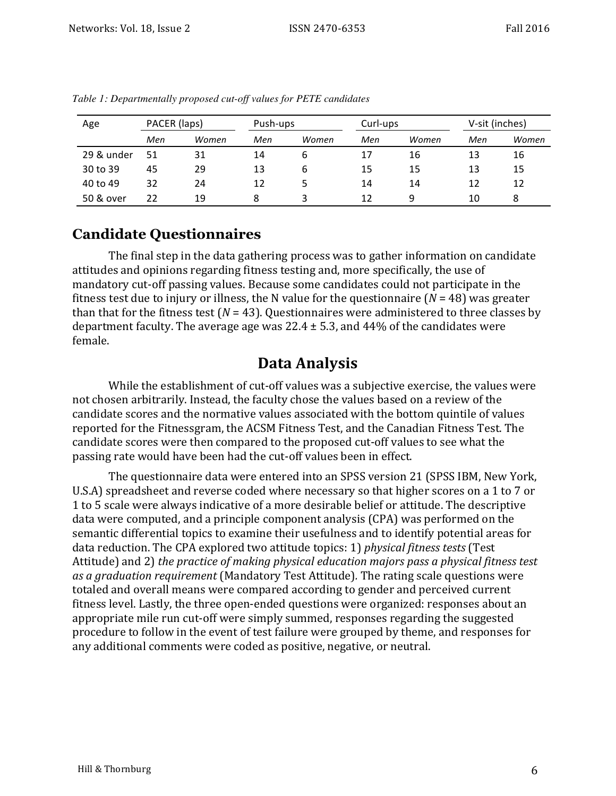| Age        | PACER (laps) |       | Push-ups |       | Curl-ups |       | V-sit (inches) |       |
|------------|--------------|-------|----------|-------|----------|-------|----------------|-------|
|            | Men          | Women | Men      | Women | Men      | Women | Men            | Women |
| 29 & under | 51           | 31    | 14       | b     | 17       | 16    | 13             | 16    |
| 30 to 39   | 45           | 29    | 13       | 6     | 15       | 15    | 13             | 15    |
| 40 to 49   | 32           | 24    | 12       | ь     | 14       | 14    | 12             | 12    |
| 50 & over  | 22           | 19    | 8        | 3     | 12       | q     | 10             | 8     |

*Table 1: Departmentally proposed cut-off values for PETE candidates*

#### **Candidate Questionnaires**

The final step in the data gathering process was to gather information on candidate attitudes and opinions regarding fitness testing and, more specifically, the use of mandatory cut-off passing values. Because some candidates could not participate in the fitness test due to injury or illness, the N value for the questionnaire  $(N = 48)$  was greater than that for the fitness test ( $N = 43$ ). Questionnaires were administered to three classes by department faculty. The average age was  $22.4 \pm 5.3$ , and 44% of the candidates were female.

#### **Data Analysis**

While the establishment of cut-off values was a subjective exercise, the values were not chosen arbitrarily. Instead, the faculty chose the values based on a review of the candidate scores and the normative values associated with the bottom quintile of values reported for the Fitnessgram, the ACSM Fitness Test, and the Canadian Fitness Test. The candidate scores were then compared to the proposed cut-off values to see what the passing rate would have been had the cut-off values been in effect.

The questionnaire data were entered into an SPSS version 21 (SPSS IBM, New York, U.S.A) spreadsheet and reverse coded where necessary so that higher scores on a 1 to 7 or 1 to 5 scale were always indicative of a more desirable belief or attitude. The descriptive data were computed, and a principle component analysis (CPA) was performed on the semantic differential topics to examine their usefulness and to identify potential areas for data reduction. The CPA explored two attitude topics: 1) *physical fitness tests* (Test Attitude) and 2) *the practice of making physical education majors pass a physical fitness test as a graduation requirement* (Mandatory Test Attitude). The rating scale questions were totaled and overall means were compared according to gender and perceived current fitness level. Lastly, the three open-ended questions were organized: responses about an appropriate mile run cut-off were simply summed, responses regarding the suggested procedure to follow in the event of test failure were grouped by theme, and responses for any additional comments were coded as positive, negative, or neutral.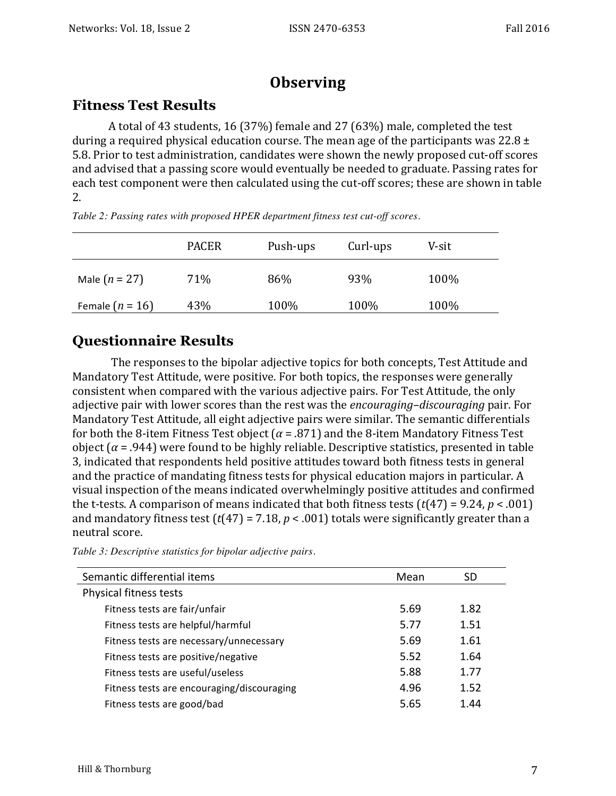### **Observing**

#### **Fitness Test Results**

A total of 43 students, 16 (37%) female and 27 (63%) male, completed the test during a required physical education course. The mean age of the participants was  $22.8 \pm$ 5.8. Prior to test administration, candidates were shown the newly proposed cut-off scores and advised that a passing score would eventually be needed to graduate. Passing rates for each test component were then calculated using the cut-off scores; these are shown in table 2.

|                   | <b>PACER</b> | Push-ups | Curl-ups | V-sit |
|-------------------|--------------|----------|----------|-------|
| Male $(n = 27)$   | 71%          | 86%      | 93%      | 100%  |
| Female $(n = 16)$ | 43%          | 100%     | 100%     | 100%  |

*Table 2: Passing rates with proposed HPER department fitness test cut-off scores.*

#### **Questionnaire Results**

The responses to the bipolar adjective topics for both concepts, Test Attitude and Mandatory Test Attitude, were positive. For both topics, the responses were generally consistent when compared with the various adjective pairs. For Test Attitude, the only adjective pair with lower scores than the rest was the *encouraging-discouraging* pair. For Mandatory Test Attitude, all eight adjective pairs were similar. The semantic differentials for both the 8-item Fitness Test object  $(\alpha = .871)$  and the 8-item Mandatory Fitness Test object  $(α = .944)$  were found to be highly reliable. Descriptive statistics, presented in table 3, indicated that respondents held positive attitudes toward both fitness tests in general and the practice of mandating fitness tests for physical education majors in particular. A visual inspection of the means indicated overwhelmingly positive attitudes and confirmed the t-tests. A comparison of means indicated that both fitness tests  $(t(47) = 9.24, p < .001)$ and mandatory fitness test  $(t(47) = 7.18, p < .001)$  totals were significantly greater than a neutral score.

| Semantic differential items                | Mean | SD   |
|--------------------------------------------|------|------|
| Physical fitness tests                     |      |      |
| Fitness tests are fair/unfair              | 5.69 | 1.82 |
| Fitness tests are helpful/harmful          | 5.77 | 1.51 |
| Fitness tests are necessary/unnecessary    | 5.69 | 1.61 |
| Fitness tests are positive/negative        | 5.52 | 1.64 |
| Fitness tests are useful/useless           | 5.88 | 1.77 |
| Fitness tests are encouraging/discouraging | 4.96 | 1.52 |
| Fitness tests are good/bad                 | 5.65 | 1.44 |
|                                            |      |      |

*Table 3: Descriptive statistics for bipolar adjective pairs.*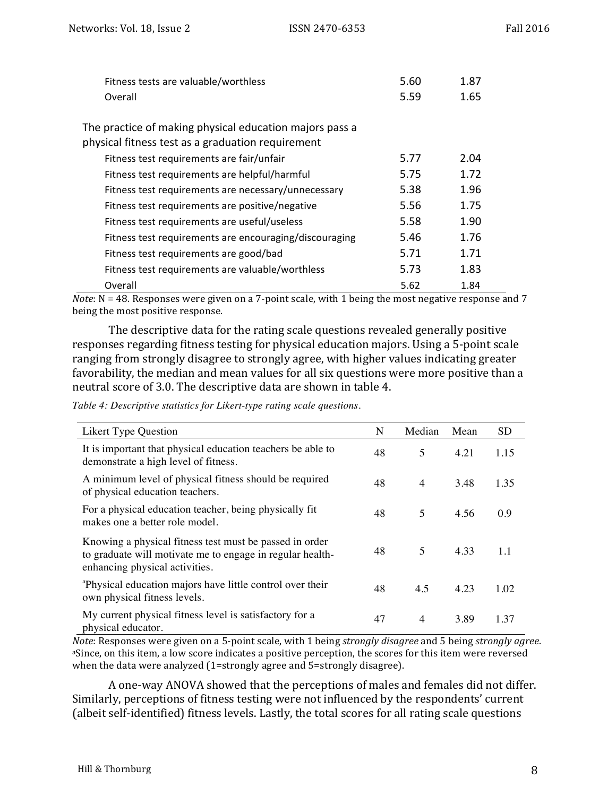| Fitness tests are valuable/worthless                    | 5.60 | 1.87 |  |
|---------------------------------------------------------|------|------|--|
| Overall                                                 | 5.59 | 1.65 |  |
|                                                         |      |      |  |
| The practice of making physical education majors pass a |      |      |  |
| physical fitness test as a graduation requirement       |      |      |  |
| Fitness test requirements are fair/unfair               | 5.77 | 2.04 |  |
| Fitness test requirements are helpful/harmful           | 5.75 | 1.72 |  |
| Fitness test requirements are necessary/unnecessary     | 5.38 | 1.96 |  |
| Fitness test requirements are positive/negative         | 5.56 | 1.75 |  |
| Fitness test requirements are useful/useless            | 5.58 | 1.90 |  |
| Fitness test requirements are encouraging/discouraging  | 5.46 | 1.76 |  |
| Fitness test requirements are good/bad                  | 5.71 | 1.71 |  |
| Fitness test requirements are valuable/worthless        | 5.73 | 1.83 |  |
| Overall                                                 | 5.62 | 1.84 |  |

*Note*: N = 48. Responses were given on a 7-point scale, with 1 being the most negative response and 7 being the most positive response.

The descriptive data for the rating scale questions revealed generally positive responses regarding fitness testing for physical education majors. Using a 5-point scale ranging from strongly disagree to strongly agree, with higher values indicating greater favorability, the median and mean values for all six questions were more positive than a neutral score of 3.0. The descriptive data are shown in table 4.

| Table 4: Descriptive statistics for Likert-type rating scale questions. |  |  |  |  |  |
|-------------------------------------------------------------------------|--|--|--|--|--|
|-------------------------------------------------------------------------|--|--|--|--|--|

| <b>Likert Type Question</b>                                                                                                                            | N  | Median         | Mean | <b>SD</b> |
|--------------------------------------------------------------------------------------------------------------------------------------------------------|----|----------------|------|-----------|
| It is important that physical education teachers be able to<br>demonstrate a high level of fitness.                                                    | 48 | 5              | 4.21 | 1.15      |
| A minimum level of physical fitness should be required<br>of physical education teachers.                                                              | 48 | $\overline{4}$ | 3.48 | 1.35      |
| For a physical education teacher, being physically fit<br>makes one a better role model.                                                               | 48 | 5              | 4.56 | 0.9       |
| Knowing a physical fitness test must be passed in order<br>to graduate will motivate me to engage in regular health-<br>enhancing physical activities. | 48 | 5              | 4.33 | 1.1       |
| <sup>a</sup> Physical education majors have little control over their<br>own physical fitness levels.                                                  | 48 | 4.5            | 4.23 | 1.02      |
| My current physical fitness level is satisfactory for a<br>physical educator.                                                                          | 47 | $\overline{4}$ | 3.89 | 1.37      |

*Note*: Responses were given on a 5-point scale, with 1 being *strongly disagree* and 5 being *strongly agree*. aSince, on this item, a low score indicates a positive perception, the scores for this item were reversed when the data were analyzed (1=strongly agree and 5=strongly disagree).

A one-way ANOVA showed that the perceptions of males and females did not differ. Similarly, perceptions of fitness testing were not influenced by the respondents' current (albeit self-identified) fitness levels. Lastly, the total scores for all rating scale questions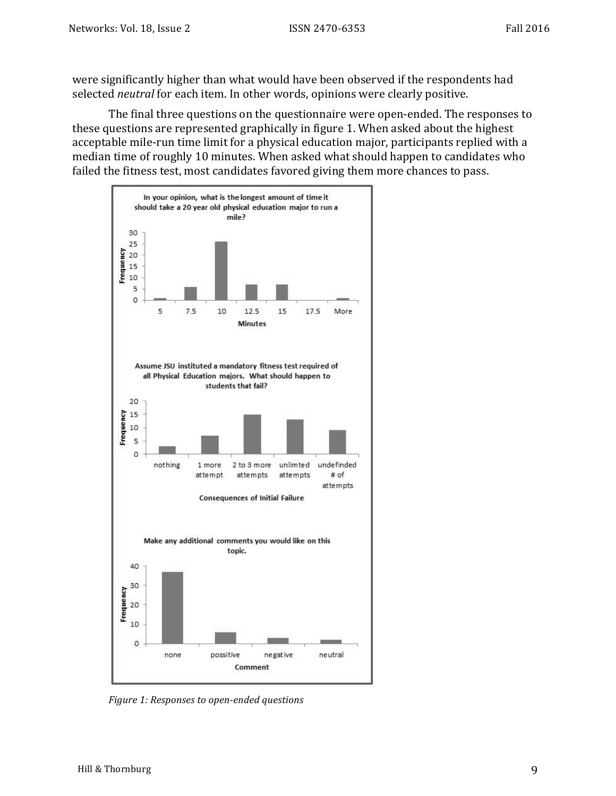were significantly higher than what would have been observed if the respondents had selected *neutral* for each item. In other words, opinions were clearly positive.

The final three questions on the questionnaire were open-ended. The responses to these questions are represented graphically in figure 1. When asked about the highest acceptable mile-run time limit for a physical education major, participants replied with a median time of roughly 10 minutes. When asked what should happen to candidates who failed the fitness test, most candidates favored giving them more chances to pass.



*Figure 1: Responses to open-ended questions*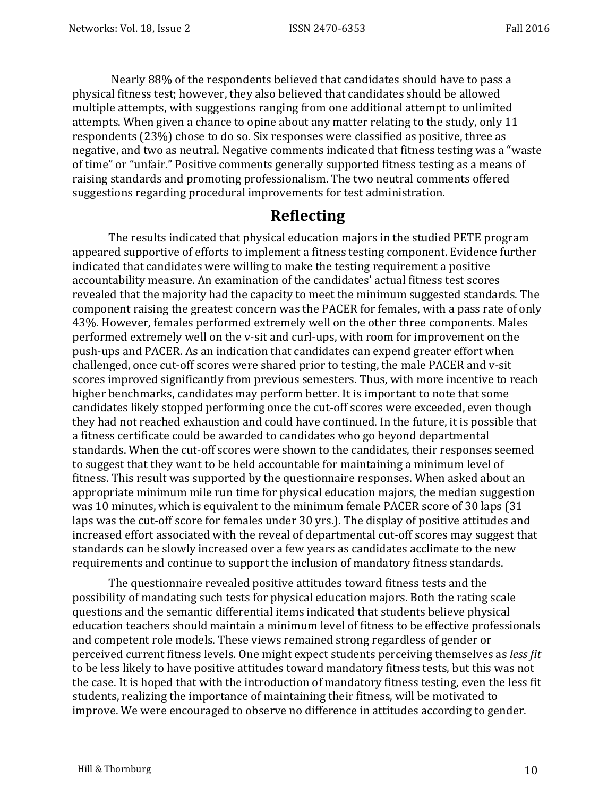Nearly 88% of the respondents believed that candidates should have to pass a physical fitness test; however, they also believed that candidates should be allowed multiple attempts, with suggestions ranging from one additional attempt to unlimited attempts. When given a chance to opine about any matter relating to the study, only 11 respondents (23%) chose to do so. Six responses were classified as positive, three as negative, and two as neutral. Negative comments indicated that fitness testing was a "waste of time" or "unfair." Positive comments generally supported fitness testing as a means of raising standards and promoting professionalism. The two neutral comments offered suggestions regarding procedural improvements for test administration.

#### **Reflecting**

The results indicated that physical education majors in the studied PETE program appeared supportive of efforts to implement a fitness testing component. Evidence further indicated that candidates were willing to make the testing requirement a positive accountability measure. An examination of the candidates' actual fitness test scores revealed that the majority had the capacity to meet the minimum suggested standards. The component raising the greatest concern was the PACER for females, with a pass rate of only 43%. However, females performed extremely well on the other three components. Males performed extremely well on the v-sit and curl-ups, with room for improvement on the push-ups and PACER. As an indication that candidates can expend greater effort when challenged, once cut-off scores were shared prior to testing, the male PACER and v-sit scores improved significantly from previous semesters. Thus, with more incentive to reach higher benchmarks, candidates may perform better. It is important to note that some candidates likely stopped performing once the cut-off scores were exceeded, even though they had not reached exhaustion and could have continued. In the future, it is possible that a fitness certificate could be awarded to candidates who go beyond departmental standards. When the cut-off scores were shown to the candidates, their responses seemed to suggest that they want to be held accountable for maintaining a minimum level of fitness. This result was supported by the questionnaire responses. When asked about an appropriate minimum mile run time for physical education majors, the median suggestion was 10 minutes, which is equivalent to the minimum female PACER score of 30 laps (31 laps was the cut-off score for females under 30 yrs.). The display of positive attitudes and increased effort associated with the reveal of departmental cut-off scores may suggest that standards can be slowly increased over a few years as candidates acclimate to the new requirements and continue to support the inclusion of mandatory fitness standards.

The questionnaire revealed positive attitudes toward fitness tests and the possibility of mandating such tests for physical education majors. Both the rating scale questions and the semantic differential items indicated that students believe physical education teachers should maintain a minimum level of fitness to be effective professionals and competent role models. These views remained strong regardless of gender or perceived current fitness levels. One might expect students perceiving themselves as *less fit* to be less likely to have positive attitudes toward mandatory fitness tests, but this was not the case. It is hoped that with the introduction of mandatory fitness testing, even the less fit students, realizing the importance of maintaining their fitness, will be motivated to improve. We were encouraged to observe no difference in attitudes according to gender.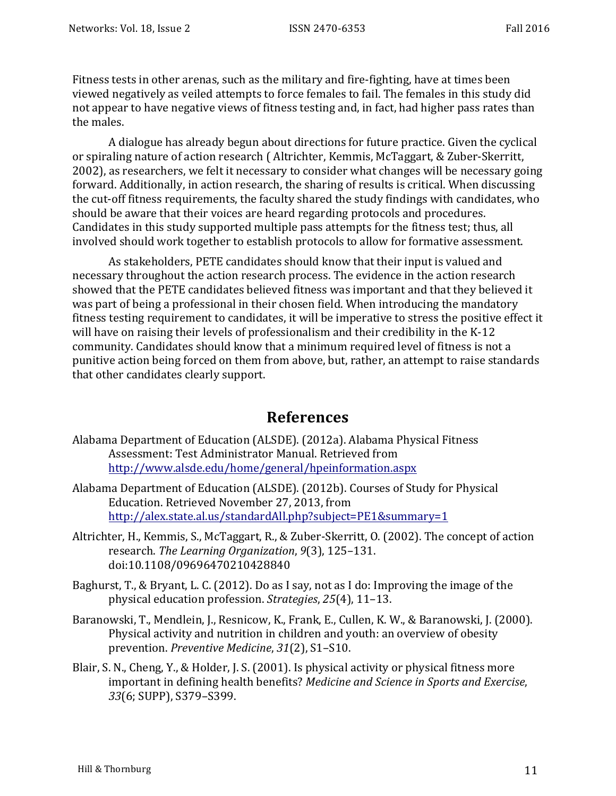Fitness tests in other arenas, such as the military and fire-fighting, have at times been viewed negatively as veiled attempts to force females to fail. The females in this study did not appear to have negative views of fitness testing and, in fact, had higher pass rates than the males.

A dialogue has already begun about directions for future practice. Given the cyclical or spiraling nature of action research (Altrichter, Kemmis, McTaggart, & Zuber-Skerritt, 2002), as researchers, we felt it necessary to consider what changes will be necessary going forward. Additionally, in action research, the sharing of results is critical. When discussing the cut-off fitness requirements, the faculty shared the study findings with candidates, who should be aware that their voices are heard regarding protocols and procedures. Candidates in this study supported multiple pass attempts for the fitness test; thus, all involved should work together to establish protocols to allow for formative assessment.

As stakeholders, PETE candidates should know that their input is valued and necessary throughout the action research process. The evidence in the action research showed that the PETE candidates believed fitness was important and that they believed it was part of being a professional in their chosen field. When introducing the mandatory fitness testing requirement to candidates, it will be imperative to stress the positive effect it will have on raising their levels of professionalism and their credibility in the K-12 community. Candidates should know that a minimum required level of fitness is not a punitive action being forced on them from above, but, rather, an attempt to raise standards that other candidates clearly support.

#### **References**

- Alabama Department of Education (ALSDE). (2012a). Alabama Physical Fitness Assessment: Test Administrator Manual. Retrieved from http://www.alsde.edu/home/general/hpeinformation.aspx
- Alabama Department of Education (ALSDE). (2012b). Courses of Study for Physical Education. Retrieved November 27, 2013, from http://alex.state.al.us/standardAll.php?subject=PE1&summary=1
- Altrichter, H., Kemmis, S., McTaggart, R., & Zuber-Skerritt, O. (2002). The concept of action research. The Learning Organization, 9(3), 125-131. doi:10.1108/09696470210428840
- Baghurst, T., & Bryant, L. C. (2012). Do as I say, not as I do: Improving the image of the physical education profession. *Strategies*, *25*(4), 11–13.
- Baranowski, T., Mendlein, J., Resnicow, K., Frank, E., Cullen, K. W., & Baranowski, J. (2000). Physical activity and nutrition in children and youth: an overview of obesity prevention. Preventive Medicine, 31(2), S1-S10.
- Blair, S. N., Cheng, Y., & Holder, J. S. (2001). Is physical activity or physical fitness more important in defining health benefits? *Medicine and Science in Sports and Exercise*, 33(6; SUPP), S379-S399.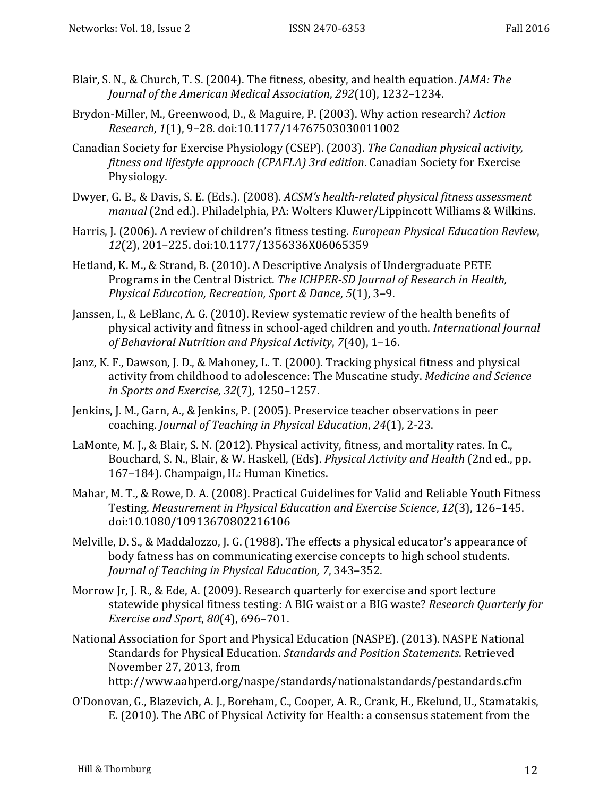- Blair, S. N., & Church, T. S. (2004). The fitness, obesity, and health equation. *JAMA: The Journal of the American Medical Association, 292(10), 1232-1234.*
- Brydon-Miller, M., Greenwood, D., & Maguire, P. (2003). Why action research? *Action Research*, *1*(1), 9–28. doi:10.1177/14767503030011002
- Canadian Society for Exercise Physiology (CSEP). (2003). *The Canadian physical activity*, *fitness and lifestyle approach (CPAFLA) 3rd edition*. Canadian Society for Exercise Physiology.
- Dwyer, G. B., & Davis, S. E. (Eds.). (2008). *ACSM's health-related physical fitness assessment manual* (2nd ed.). Philadelphia, PA: Wolters Kluwer/Lippincott Williams & Wilkins.
- Harris, J. (2006). A review of children's fitness testing. *European Physical Education Review*, *12*(2), 201–225. doi:10.1177/1356336X06065359
- Hetland, K. M., & Strand, B. (2010). A Descriptive Analysis of Undergraduate PETE Programs in the Central District. The ICHPER-SD Journal of Research in Health, *Physical Education, Recreation, Sport & Dance,* 5(1), 3-9.
- Janssen, I., & LeBlanc, A. G. (2010). Review systematic review of the health benefits of physical activity and fitness in school-aged children and youth. *International Journal* of Behavioral Nutrition and Physical Activity, 7(40), 1-16.
- Janz, K. F., Dawson, J. D., & Mahoney, L. T. (2000). Tracking physical fitness and physical activity from childhood to adolescence: The Muscatine study. *Medicine and Science in Sports and Exercise*, *32*(7), 1250–1257.
- Jenkins, J. M., Garn, A., & Jenkins, P. (2005). Preservice teacher observations in peer coaching. *Journal of Teaching in Physical Education*, 24(1), 2-23.
- LaMonte, M. J., & Blair, S. N. (2012). Physical activity, fitness, and mortality rates. In C., Bouchard, S. N., Blair, & W. Haskell, (Eds). *Physical Activity and Health* (2nd ed., pp. 167-184). Champaign, IL: Human Kinetics.
- Mahar, M. T., & Rowe, D. A. (2008). Practical Guidelines for Valid and Reliable Youth Fitness Testing. Measurement in Physical Education and Exercise Science, 12(3), 126-145. doi:10.1080/10913670802216106
- Melville, D. S., & Maddalozzo, J. G. (1988). The effects a physical educator's appearance of body fatness has on communicating exercise concepts to high school students. *Journal of Teaching in Physical Education, 7, 343-352.*
- Morrow Jr, J. R., & Ede, A. (2009). Research quarterly for exercise and sport lecture statewide physical fitness testing: A BIG waist or a BIG waste? *Research Quarterly for Exercise and Sport, 80*(4), 696-701.
- National Association for Sport and Physical Education (NASPE). (2013). NASPE National Standards for Physical Education. *Standards and Position Statements*. Retrieved November 27, 2013, from http://www.aahperd.org/naspe/standards/nationalstandards/pestandards.cfm
- O'Donovan, G., Blazevich, A. J., Boreham, C., Cooper, A. R., Crank, H., Ekelund, U., Stamatakis, E. (2010). The ABC of Physical Activity for Health: a consensus statement from the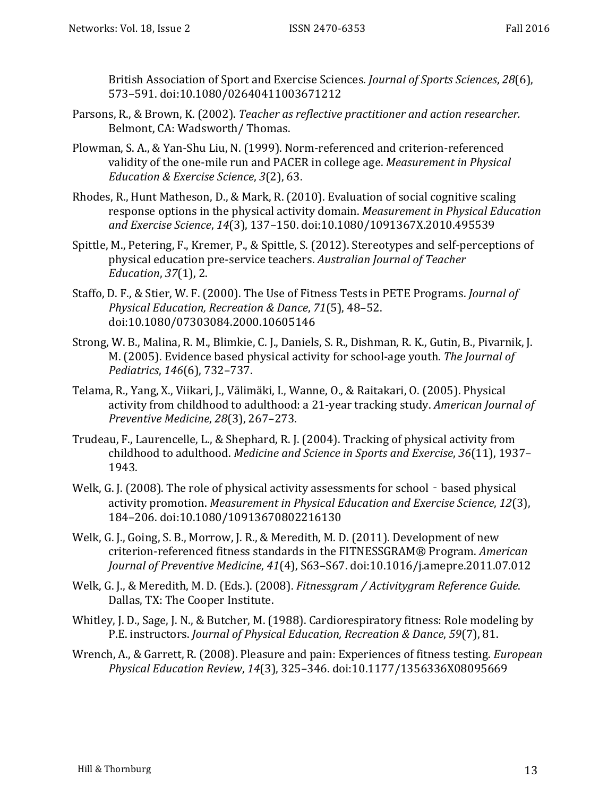British Association of Sport and Exercise Sciences. *Journal of Sports Sciences*, 28(6), 573–591. doi:10.1080/02640411003671212

- Parsons, R., & Brown, K. (2002). *Teacher as reflective practitioner and action researcher.* Belmont, CA: Wadsworth/ Thomas.
- Plowman, S. A., & Yan-Shu Liu, N. (1999). Norm-referenced and criterion-referenced validity of the one-mile run and PACER in college age. *Measurement in Physical Education & Exercise Science*, 3(2), 63.
- Rhodes, R., Hunt Matheson, D., & Mark, R. (2010). Evaluation of social cognitive scaling response options in the physical activity domain. *Measurement in Physical Education and Exercise Science*, *14*(3), 137–150. doi:10.1080/1091367X.2010.495539
- Spittle, M., Petering, F., Kremer, P., & Spittle, S. (2012). Stereotypes and self-perceptions of physical education pre-service teachers. Australian Journal of Teacher *Education*, 37(1), 2.
- Staffo, D. F., & Stier, W. F. (2000). The Use of Fitness Tests in PETE Programs. *Journal of Physical Education, Recreation & Dance*, *71*(5), 48–52. doi:10.1080/07303084.2000.10605146
- Strong, W. B., Malina, R. M., Blimkie, C. J., Daniels, S. R., Dishman, R. K., Gutin, B., Pivarnik, J. M. (2005). Evidence based physical activity for school-age youth. The *Journal of Pediatrics*, *146*(6), 732–737.
- Telama, R., Yang, X., Viikari, J., Välimäki, I., Wanne, O., & Raitakari, O. (2005). Physical activity from childhood to adulthood: a 21-year tracking study. American Journal of *Preventive Medicine*, *28*(3), 267–273.
- Trudeau, F., Laurencelle, L., & Shephard, R. J. (2004). Tracking of physical activity from childhood to adulthood. *Medicine and Science in Sports and Exercise*, 36(11), 1937-1943.
- Welk, G. J. (2008). The role of physical activity assessments for school based physical activity promotion. *Measurement in Physical Education and Exercise Science*, 12(3), 184–206. doi:10.1080/10913670802216130
- Welk, G. J., Going, S. B., Morrow, J. R., & Meredith, M. D. (2011). Development of new criterion-referenced fitness standards in the FITNESSGRAM® Program. American *Journal of Preventive Medicine*, *41*(4), S63–S67. doi:10.1016/j.amepre.2011.07.012
- Welk, G. J., & Meredith, M. D. (Eds.). (2008). *Fitnessgram / Activitygram Reference Guide*. Dallas, TX: The Cooper Institute.
- Whitley, J. D., Sage, J. N., & Butcher, M. (1988). Cardiorespiratory fitness: Role modeling by P.E. instructors. *Journal of Physical Education, Recreation & Dance*, 59(7), 81.
- Wrench, A., & Garrett, R. (2008). Pleasure and pain: Experiences of fitness testing. *European Physical Education Review*, *14*(3), 325–346. doi:10.1177/1356336X08095669